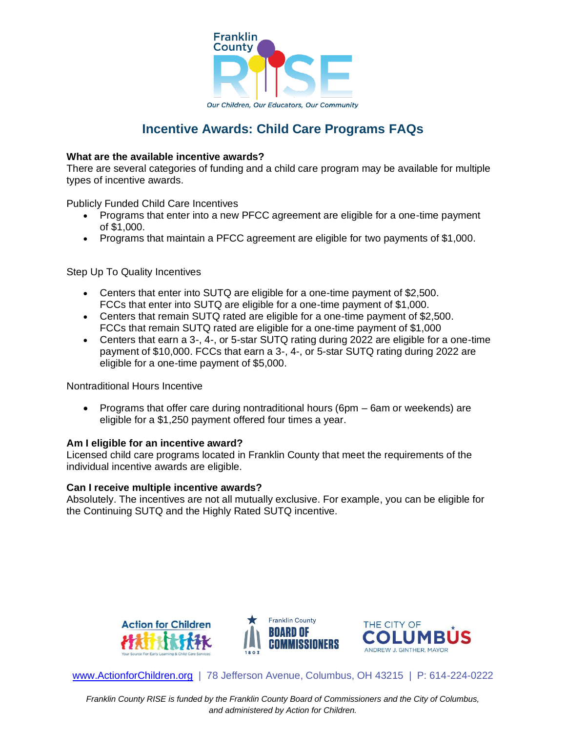

# **Incentive Awards: Child Care Programs FAQs**

## **What are the available incentive awards?**

There are several categories of funding and a child care program may be available for multiple types of incentive awards.

Publicly Funded Child Care Incentives

- Programs that enter into a new PFCC agreement are eligible for a one-time payment of \$1,000.
- Programs that maintain a PFCC agreement are eligible for two payments of \$1,000.

Step Up To Quality Incentives

- Centers that enter into SUTQ are eligible for a one-time payment of \$2,500. FCCs that enter into SUTQ are eligible for a one-time payment of \$1,000.
- Centers that remain SUTQ rated are eligible for a one-time payment of \$2,500. FCCs that remain SUTQ rated are eligible for a one-time payment of \$1,000
- Centers that earn a 3-, 4-, or 5-star SUTQ rating during 2022 are eligible for a one-time payment of \$10,000. FCCs that earn a 3-, 4-, or 5-star SUTQ rating during 2022 are eligible for a one-time payment of \$5,000.

Nontraditional Hours Incentive

• Programs that offer care during nontraditional hours (6pm – 6am or weekends) are eligible for a \$1,250 payment offered four times a year.

### **Am I eligible for an incentive award?**

Licensed child care programs located in Franklin County that meet the requirements of the individual incentive awards are eligible.

### **Can I receive multiple incentive awards?**

Absolutely. The incentives are not all mutually exclusive. For example, you can be eligible for the Continuing SUTQ and the Highly Rated SUTQ incentive.



[www.ActionforChildren.org](http://www.actionforchildren.org/) | 78 Jefferson Avenue, Columbus, OH 43215 | P: 614-224-0222

*Franklin County RISE is funded by the Franklin County Board of Commissioners and the City of Columbus, and administered by Action for Children.*